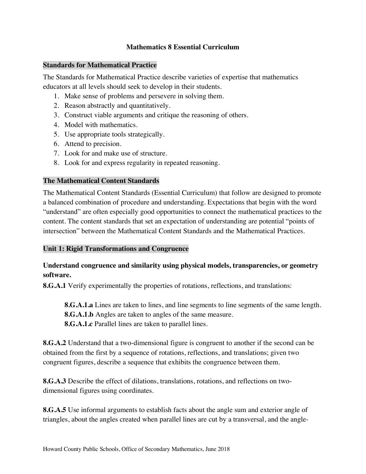#### **Mathematics 8 Essential Curriculum**

#### **Standards for Mathematical Practice**

 The Standards for Mathematical Practice describe varieties of expertise that mathematics educators at all levels should seek to develop in their students.

- 1. Make sense of problems and persevere in solving them.
- 2. Reason abstractly and quantitatively.
- 3. Construct viable arguments and critique the reasoning of others.
- 4. Model with mathematics.
- 5. Use appropriate tools strategically.
- 6. Attend to precision.
- 7. Look for and make use of structure.
- 8. Look for and express regularity in repeated reasoning.

#### **The Mathematical Content Standards**

 The Mathematical Content Standards (Essential Curriculum) that follow are designed to promote a balanced combination of procedure and understanding. Expectations that begin with the word "understand" are often especially good opportunities to connect the mathematical practices to the content. The content standards that set an expectation of understanding are potential "points of intersection" between the Mathematical Content Standards and the Mathematical Practices.

## **Unit 1: Rigid Transformations and Congruence**

# **Understand congruence and similarity using physical models, transparencies, or geometry software.**

**8.G.A.1** Verify experimentally the properties of rotations, reflections, and translations:

 **8.G.A.1.a** Lines are taken to lines, and line segments to line segments of the same length. **8.G.A.1.b** Angles are taken to angles of the same measure. **8.G.A.1.c** Parallel lines are taken to parallel lines.

 **8.G.A.2** Understand that a two-dimensional figure is congruent to another if the second can be obtained from the first by a sequence of rotations, reflections, and translations; given two congruent figures, describe a sequence that exhibits the congruence between them.

 **8.G.A.3** Describe the effect of dilations, translations, rotations, and reflections on two-dimensional figures using coordinates.

 **8.G.A.5** Use informal arguments to establish facts about the angle sum and exterior angle of triangles, about the angles created when parallel lines are cut by a transversal, and the angle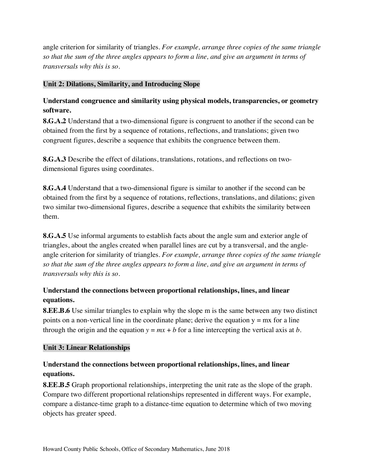angle criterion for similarity of triangles. *For example, arrange three copies of the same triangle so that the sum of the three angles appears to form a line, and give an argument in terms of transversals why this is so*.

#### **Unit 2: Dilations, Similarity, and Introducing Slope**

# **Understand congruence and similarity using physical models, transparencies, or geometry software.**

 **8.G.A.2** Understand that a two-dimensional figure is congruent to another if the second can be obtained from the first by a sequence of rotations, reflections, and translations; given two congruent figures, describe a sequence that exhibits the congruence between them.

 **8.G.A.3** Describe the effect of dilations, translations, rotations, and reflections on two-dimensional figures using coordinates.

 **8.G.A.4** Understand that a two-dimensional figure is similar to another if the second can be obtained from the first by a sequence of rotations, reflections, translations, and dilations; given two similar two-dimensional figures, describe a sequence that exhibits the similarity between them.

 **8.G.A.5** Use informal arguments to establish facts about the angle sum and exterior angle of triangles, about the angles created when parallel lines are cut by a transversal, and the angle- angle criterion for similarity of triangles. *For example, arrange three copies of the same triangle so that the sum of the three angles appears to form a line, and give an argument in terms of transversals why this is so*.

# **Understand the connections between proportional relationships, lines, and linear equations.**

 **8.EE.B.6** Use similar triangles to explain why the slope m is the same between any two distinct points on a non-vertical line in the coordinate plane; derive the equation y = mx for a line through the origin and the equation  $y = mx + b$  for a line intercepting the vertical axis at *b*.

## **Unit 3: Linear Relationships**

# **Understand the connections between proportional relationships, lines, and linear equations.**

 **8.EE.B.5** Graph proportional relationships, interpreting the unit rate as the slope of the graph. Compare two different proportional relationships represented in different ways. For example, compare a distance-time graph to a distance-time equation to determine which of two moving objects has greater speed.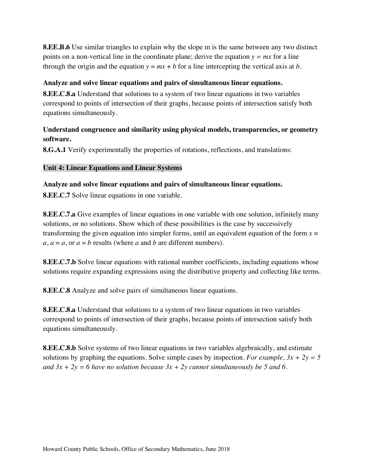**8.EE.B.6** Use similar triangles to explain why the slope m is the same between any two distinct points on a non-vertical line in the coordinate plane; derive the equation *y = mx* for a line through the origin and the equation  $y = mx + b$  for a line intercepting the vertical axis at *b*.

#### **Analyze and solve linear equations and pairs of simultaneous linear equations.**

 **8.EE.C.8.a** Understand that solutions to a system of two linear equations in two variables correspond to points of intersection of their graphs, because points of intersection satisfy both equations simultaneously.

## **Understand congruence and similarity using physical models, transparencies, or geometry software.**

**8.G.A.1** Verify experimentally the properties of rotations, reflections, and translations:

### **Unit 4: Linear Equations and Linear Systems**

 **Analyze and solve linear equations and pairs of simultaneous linear equations. 8.EE.C.7** Solve linear equations in one variable.

 **8.EE.C.7.a** Give examples of linear equations in one variable with one solution, infinitely many solutions, or no solutions. Show which of these possibilities is the case by successively transforming the given equation into simpler forms, until an equivalent equation of the form  $x =$  $a, a = a$ , or  $a = b$  results (where  $a$  and  $b$  are different numbers).

 **8.EE.C.7.b** Solve linear equations with rational number coefficients, including equations whose solutions require expanding expressions using the distributive property and collecting like terms.

**8.EE.C.8** Analyze and solve pairs of simultaneous linear equations.

 **8.EE.C.8.a** Understand that solutions to a system of two linear equations in two variables correspond to points of intersection of their graphs, because points of intersection satisfy both equations simultaneously.

 **8.EE.C.8.b** Solve systems of two linear equations in two variables algebraically, and estimate solutions by graphing the equations. Solve simple cases by inspection. *For example, 3x + 2y = 5*  and  $3x + 2y = 6$  have no solution because  $3x + 2y$  cannot simultaneously be 5 and 6.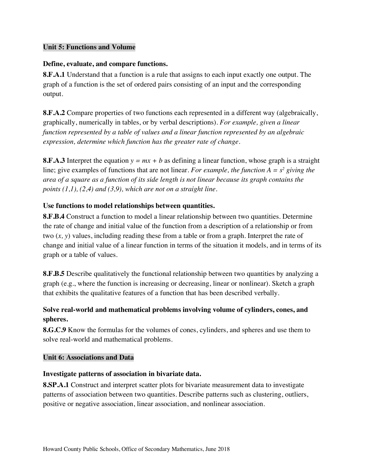### **Unit 5: Functions and Volume**

#### **Define, evaluate, and compare functions.**

 **8.F.A.1** Understand that a function is a rule that assigns to each input exactly one output. The graph of a function is the set of ordered pairs consisting of an input and the corresponding output.

 **8.F.A.2** Compare properties of two functions each represented in a different way (algebraically, graphically, numerically in tables, or by verbal descriptions). *For example, given a linear function represented by a table of values and a linear function represented by an algebraic expression, determine which function has the greater rate of change*.

 **8.F.A.3** Interpret the equation *y = mx + b* as defining a linear function, whose graph is a straight line; give examples of functions that are not linear. *For example, the function A = s2 giving the area of a square as a function of its side length is not linear because its graph contains the points (1,1), (2,4) and (3,9), which are not on a straight line*.

#### **Use functions to model relationships between quantities.**

 **8.F.B.4** Construct a function to model a linear relationship between two quantities. Determine the rate of change and initial value of the function from a description of a relationship or from two (*x, y*) values, including reading these from a table or from a graph. Interpret the rate of change and initial value of a linear function in terms of the situation it models, and in terms of its graph or a table of values.

 **8.F.B.5** Describe qualitatively the functional relationship between two quantities by analyzing a graph (e.g., where the function is increasing or decreasing, linear or nonlinear). Sketch a graph that exhibits the qualitative features of a function that has been described verbally.

# **Solve real-world and mathematical problems involving volume of cylinders, cones, and spheres.**

 **8.G.C.9** Know the formulas for the volumes of cones, cylinders, and spheres and use them to solve real-world and mathematical problems.

### **Unit 6: Associations and Data**

#### **Investigate patterns of association in bivariate data.**

 **8.SP.A.1** Construct and interpret scatter plots for bivariate measurement data to investigate patterns of association between two quantities. Describe patterns such as clustering, outliers, positive or negative association, linear association, and nonlinear association.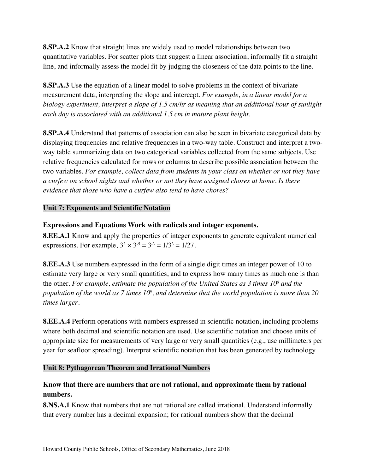**8.SP.A.2** Know that straight lines are widely used to model relationships between two quantitative variables. For scatter plots that suggest a linear association, informally fit a straight line, and informally assess the model fit by judging the closeness of the data points to the line.

 **8.SP.A.3** Use the equation of a linear model to solve problems in the context of bivariate measurement data, interpreting the slope and intercept. *For example, in a linear model for a biology experiment, interpret a slope of 1.5 cm/hr as meaning that an additional hour of sunlight each day is associated with an additional 1.5 cm in mature plant height*.

 **8.SP.A.4** Understand that patterns of association can also be seen in bivariate categorical data by displaying frequencies and relative frequencies in a two-way table. Construct and interpret a two- way table summarizing data on two categorical variables collected from the same subjects. Use relative frequencies calculated for rows or columns to describe possible association between the  two variables. *For example, collect data from students in your class on whether or not they have a curfew on school nights and whether or not they have assigned chores at home. Is there evidence that those who have a curfew also tend to have chores?* 

## **Unit 7: Exponents and Scientific Notation**

### **Expressions and Equations Work with radicals and integer exponents.**

 **8.EE.A.1** Know and apply the properties of integer exponents to generate equivalent numerical expressions. For example,  $3^2 \times 3^{5} = 3^{3} = 1/3^{3} = 1/27$ .

 **8.EE.A.3** Use numbers expressed in the form of a single digit times an integer power of 10 to estimate very large or very small quantities, and to express how many times as much one is than the other. *For example, estimate the population of the United States as 3 times 108 and the population of the world as 7 times 109 , and determine that the world population is more than 20 times larger*.

 **8.EE.A.4** Perform operations with numbers expressed in scientific notation, including problems where both decimal and scientific notation are used. Use scientific notation and choose units of appropriate size for measurements of very large or very small quantities (e.g., use millimeters per year for seafloor spreading). Interpret scientific notation that has been generated by technology

### **Unit 8: Pythagorean Theorem and Irrational Numbers**

# **Know that there are numbers that are not rational, and approximate them by rational numbers.**

 **8.NS.A.1** Know that numbers that are not rational are called irrational. Understand informally that every number has a decimal expansion; for rational numbers show that the decimal